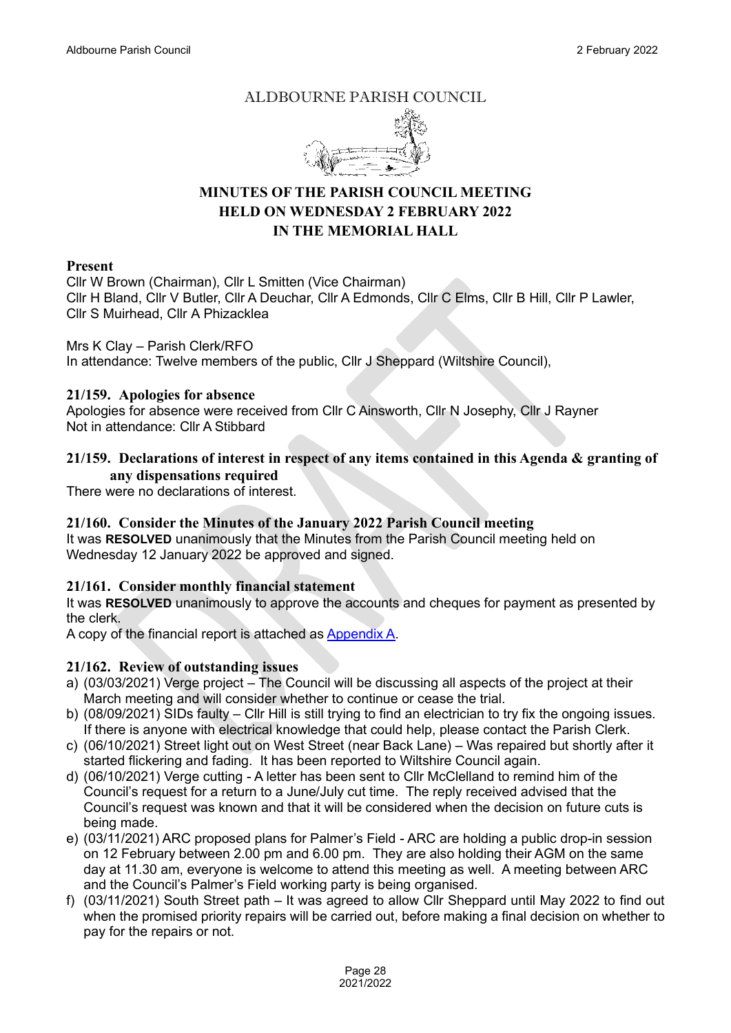## ALDBOURNE PARISH COUNCIL



# **MINUTES OF THE PARISH COUNCIL MEETING HELD ON WEDNESDAY 2 FEBRUARY 2022 IN THE MEMORIAL HALL**

#### **Present**

Cllr W Brown (Chairman), Cllr L Smitten (Vice Chairman) Cllr H Bland, Cllr V Butler, Cllr A Deuchar, Cllr A Edmonds, Cllr C Elms, Cllr B Hill, Cllr P Lawler, Cllr S Muirhead, Cllr A Phizacklea

Mrs K Clay – Parish Clerk/RFO In attendance: Twelve members of the public, Cllr J Sheppard (Wiltshire Council),

#### **21/159. Apologies for absence**

Apologies for absence were received from Cllr C Ainsworth, Cllr N Josephy, Cllr J Rayner Not in attendance: Cllr A Stibbard

### **21/159. Declarations of interest in respect of any items contained in this Agenda & granting of any dispensations required**

There were no declarations of interest.

## **21/160. Consider the Minutes of the January 2022 Parish Council meeting**

It was **RESOLVED** unanimously that the Minutes from the Parish Council meeting held on Wednesday 12 January 2022 be approved and signed.

### **21/161. Consider monthly financial statement**

It was **RESOLVED** unanimously to approve the accounts and cheques for payment as presented by the clerk.

A copy of the financial report is attached as [Appendix A.](https://www.aldbourne.net/aldbourne-parish-council/wp-content/uploads/PC/Meetings/Finance/Feb-02-2022-Accs.pdf)

### **21/162. Review of outstanding issues**

- a) (03/03/2021) Verge project The Council will be discussing all aspects of the project at their March meeting and will consider whether to continue or cease the trial.
- b) (08/09/2021) SIDs faulty Cllr Hill is still trying to find an electrician to try fix the ongoing issues. If there is anyone with electrical knowledge that could help, please contact the Parish Clerk.
- c) (06/10/2021) Street light out on West Street (near Back Lane) Was repaired but shortly after it started flickering and fading. It has been reported to Wiltshire Council again.
- d) (06/10/2021) Verge cutting A letter has been sent to Cllr McClelland to remind him of the Council's request for a return to a June/July cut time. The reply received advised that the Council's request was known and that it will be considered when the decision on future cuts is being made.
- e) (03/11/2021) ARC proposed plans for Palmer's Field ARC are holding a public drop-in session on 12 February between 2.00 pm and 6.00 pm. They are also holding their AGM on the same day at 11.30 am, everyone is welcome to attend this meeting as well. A meeting between ARC and the Council's Palmer's Field working party is being organised.
- f) (03/11/2021) South Street path It was agreed to allow Cllr Sheppard until May 2022 to find out when the promised priority repairs will be carried out, before making a final decision on whether to pay for the repairs or not.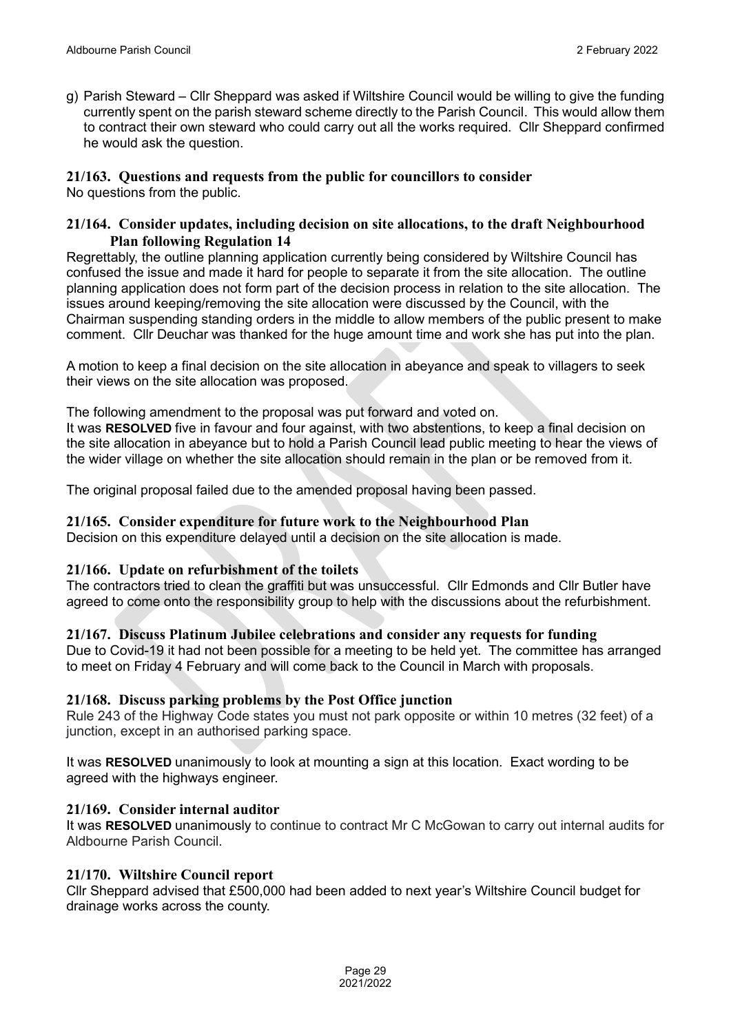g) Parish Steward – Cllr Sheppard was asked if Wiltshire Council would be willing to give the funding currently spent on the parish steward scheme directly to the Parish Council. This would allow them to contract their own steward who could carry out all the works required. Cllr Sheppard confirmed he would ask the question.

## **21/163. Questions and requests from the public for councillors to consider**

No questions from the public.

### **21/164. Consider updates, including decision on site allocations, to the draft Neighbourhood Plan following Regulation 14**

Regrettably, the outline planning application currently being considered by Wiltshire Council has confused the issue and made it hard for people to separate it from the site allocation. The outline planning application does not form part of the decision process in relation to the site allocation. The issues around keeping/removing the site allocation were discussed by the Council, with the Chairman suspending standing orders in the middle to allow members of the public present to make comment. Cllr Deuchar was thanked for the huge amount time and work she has put into the plan.

A motion to keep a final decision on the site allocation in abeyance and speak to villagers to seek their views on the site allocation was proposed.

The following amendment to the proposal was put forward and voted on.

It was **RESOLVED** five in favour and four against, with two abstentions, to keep a final decision on the site allocation in abeyance but to hold a Parish Council lead public meeting to hear the views of the wider village on whether the site allocation should remain in the plan or be removed from it.

The original proposal failed due to the amended proposal having been passed.

### **21/165. Consider expenditure for future work to the Neighbourhood Plan**

Decision on this expenditure delayed until a decision on the site allocation is made.

### **21/166. Update on refurbishment of the toilets**

The contractors tried to clean the graffiti but was unsuccessful. Cllr Edmonds and Cllr Butler have agreed to come onto the responsibility group to help with the discussions about the refurbishment.

#### **21/167. Discuss Platinum Jubilee celebrations and consider any requests for funding**

Due to Covid-19 it had not been possible for a meeting to be held yet. The committee has arranged to meet on Friday 4 February and will come back to the Council in March with proposals.

### **21/168. Discuss parking problems by the Post Office junction**

Rule 243 of the Highway Code states you must not park opposite or within 10 metres (32 feet) of a junction, except in an authorised parking space.

It was **RESOLVED** unanimously to look at mounting a sign at this location. Exact wording to be agreed with the highways engineer.

#### **21/169. Consider internal auditor**

It was **RESOLVED** unanimously to continue to contract Mr C McGowan to carry out internal audits for Aldbourne Parish Council.

### **21/170. Wiltshire Council report**

Cllr Sheppard advised that £500,000 had been added to next year's Wiltshire Council budget for drainage works across the county.